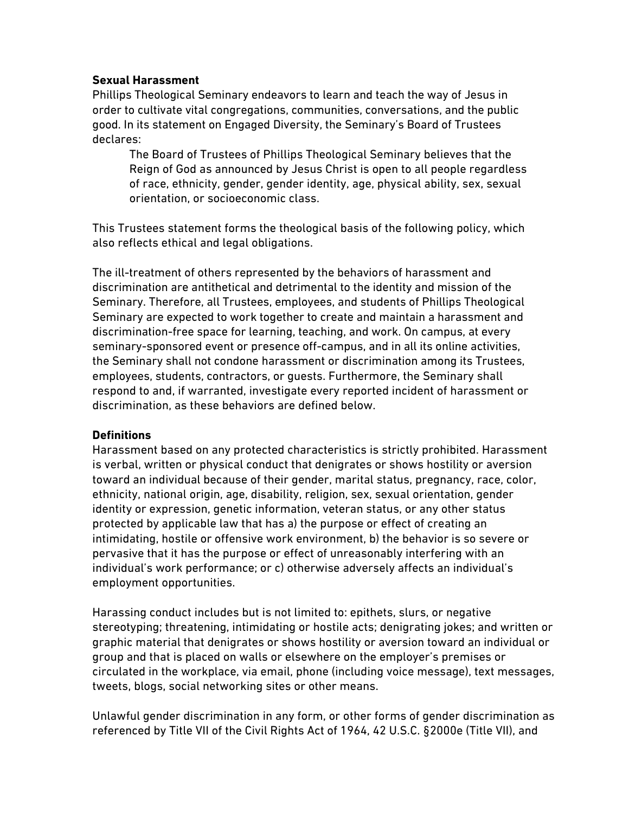#### **Sexual Harassment**

Phillips Theological Seminary endeavors to learn and teach the way of Jesus in order to cultivate vital congregations, communities, conversations, and the public good. In its statement on Engaged Diversity, the Seminary's Board of Trustees declares:

The Board of Trustees of Phillips Theological Seminary believes that the Reign of God as announced by Jesus Christ is open to all people regardless of race, ethnicity, gender, gender identity, age, physical ability, sex, sexual orientation, or socioeconomic class.

This Trustees statement forms the theological basis of the following policy, which also reflects ethical and legal obligations.

The ill-treatment of others represented by the behaviors of harassment and discrimination are antithetical and detrimental to the identity and mission of the Seminary. Therefore, all Trustees, employees, and students of Phillips Theological Seminary are expected to work together to create and maintain a harassment and discrimination-free space for learning, teaching, and work. On campus, at every seminary-sponsored event or presence off-campus, and in all its online activities, the Seminary shall not condone harassment or discrimination among its Trustees, employees, students, contractors, or guests. Furthermore, the Seminary shall respond to and, if warranted, investigate every reported incident of harassment or discrimination, as these behaviors are defined below.

### **Definitions**

Harassment based on any protected characteristics is strictly prohibited. Harassment is verbal, written or physical conduct that denigrates or shows hostility or aversion toward an individual because of their gender, marital status, pregnancy, race, color, ethnicity, national origin, age, disability, religion, sex, sexual orientation, gender identity or expression, genetic information, veteran status, or any other status protected by applicable law that has a) the purpose or effect of creating an intimidating, hostile or offensive work environment, b) the behavior is so severe or pervasive that it has the purpose or effect of unreasonably interfering with an individual's work performance; or c) otherwise adversely affects an individual's employment opportunities.

Harassing conduct includes but is not limited to: epithets, slurs, or negative stereotyping; threatening, intimidating or hostile acts; denigrating jokes; and written or graphic material that denigrates or shows hostility or aversion toward an individual or group and that is placed on walls or elsewhere on the employer's premises or circulated in the workplace, via email, phone (including voice message), text messages, tweets, blogs, social networking sites or other means.

Unlawful gender discrimination in any form, or other forms of gender discrimination as referenced by Title VII of the Civil Rights Act of 1964, 42 U.S.C. §2000e (Title VII), and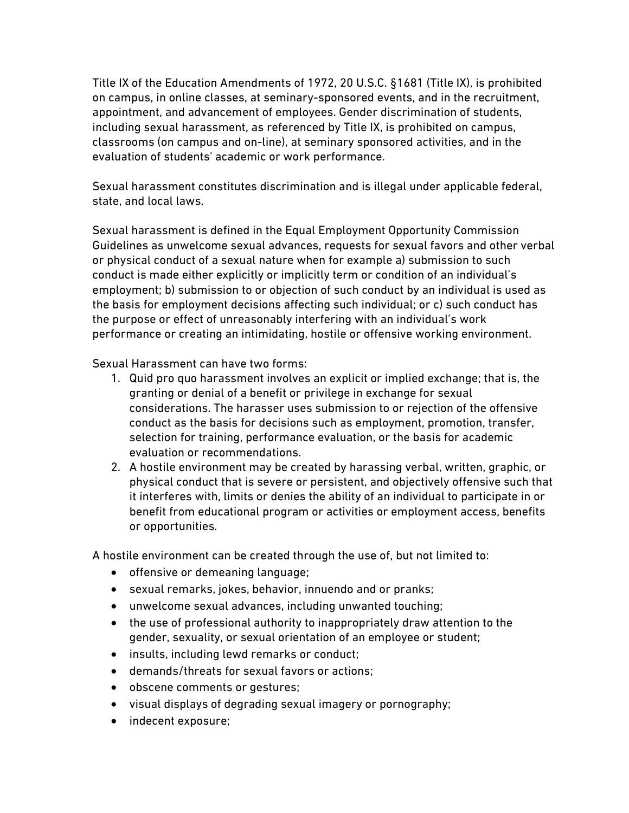Title IX of the Education Amendments of 1972, 20 U.S.C. §1681 (Title IX), is prohibited on campus, in online classes, at seminary-sponsored events, and in the recruitment, appointment, and advancement of employees. Gender discrimination of students, including sexual harassment, as referenced by Title IX, is prohibited on campus, classrooms (on campus and on-line), at seminary sponsored activities, and in the evaluation of students' academic or work performance.

Sexual harassment constitutes discrimination and is illegal under applicable federal, state, and local laws.

Sexual harassment is defined in the Equal Employment Opportunity Commission Guidelines as unwelcome sexual advances, requests for sexual favors and other verbal or physical conduct of a sexual nature when for example a) submission to such conduct is made either explicitly or implicitly term or condition of an individual's employment; b) submission to or objection of such conduct by an individual is used as the basis for employment decisions affecting such individual; or c) such conduct has the purpose or effect of unreasonably interfering with an individual's work performance or creating an intimidating, hostile or offensive working environment.

Sexual Harassment can have two forms:

- 1. Quid pro quo harassment involves an explicit or implied exchange; that is, the granting or denial of a benefit or privilege in exchange for sexual considerations. The harasser uses submission to or rejection of the offensive conduct as the basis for decisions such as employment, promotion, transfer, selection for training, performance evaluation, or the basis for academic evaluation or recommendations.
- 2. A hostile environment may be created by harassing verbal, written, graphic, or physical conduct that is severe or persistent, and objectively offensive such that it interferes with, limits or denies the ability of an individual to participate in or benefit from educational program or activities or employment access, benefits or opportunities.

A hostile environment can be created through the use of, but not limited to:

- offensive or demeaning language;
- sexual remarks, jokes, behavior, innuendo and or pranks;
- unwelcome sexual advances, including unwanted touching;
- the use of professional authority to inappropriately draw attention to the gender, sexuality, or sexual orientation of an employee or student;
- insults, including lewd remarks or conduct;
- demands/threats for sexual favors or actions;
- obscene comments or gestures;
- visual displays of degrading sexual imagery or pornography;
- indecent exposure;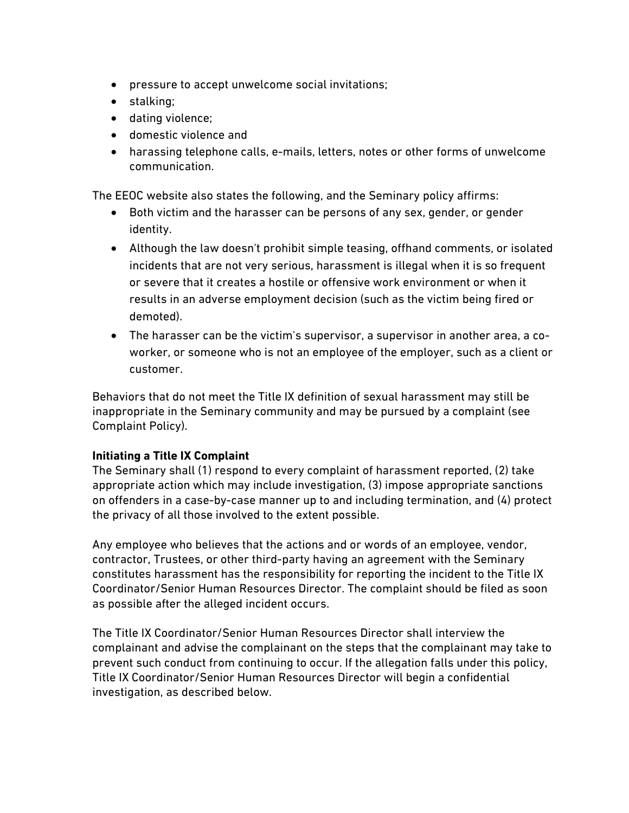- pressure to accept unwelcome social invitations;
- stalking;
- dating violence;
- domestic violence and
- harassing telephone calls, e-mails, letters, notes or other forms of unwelcome communication.

The EEOC website also states the following, and the Seminary policy affirms:

- Both victim and the harasser can be persons of any sex, gender, or gender identity.
- Although the law doesn't prohibit simple teasing, offhand comments, or isolated incidents that are not very serious, harassment is illegal when it is so frequent or severe that it creates a hostile or offensive work environment or when it results in an adverse employment decision (such as the victim being fired or demoted).
- The harasser can be the victim's supervisor, a supervisor in another area, a coworker, or someone who is not an employee of the employer, such as a client or customer.

Behaviors that do not meet the Title IX definition of sexual harassment may still be inappropriate in the Seminary community and may be pursued by a complaint (see Complaint Policy).

### **Initiating a Title IX Complaint**

The Seminary shall (1) respond to every complaint of harassment reported, (2) take appropriate action which may include investigation, (3) impose appropriate sanctions on offenders in a case-by-case manner up to and including termination, and (4) protect the privacy of all those involved to the extent possible.

Any employee who believes that the actions and or words of an employee, vendor, contractor, Trustees, or other third-party having an agreement with the Seminary constitutes harassment has the responsibility for reporting the incident to the Title IX Coordinator/Senior Human Resources Director. The complaint should be filed as soon as possible after the alleged incident occurs.

The Title IX Coordinator/Senior Human Resources Director shall interview the complainant and advise the complainant on the steps that the complainant may take to prevent such conduct from continuing to occur. If the allegation falls under this policy, Title IX Coordinator/Senior Human Resources Director will begin a confidential investigation, as described below.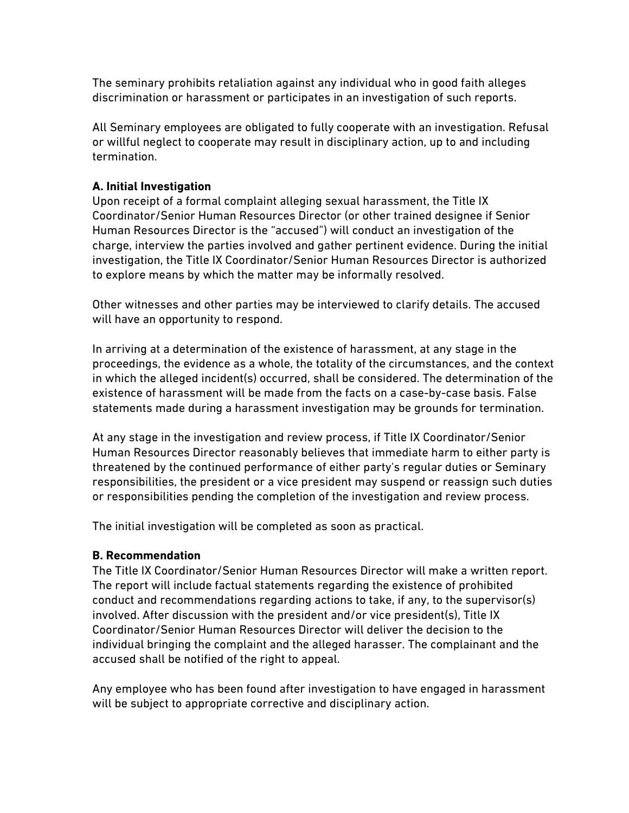The seminary prohibits retaliation against any individual who in good faith alleges discrimination or harassment or participates in an investigation of such reports.

All Seminary employees are obligated to fully cooperate with an investigation. Refusal or willful neglect to cooperate may result in disciplinary action, up to and including termination.

# **A. Initial Investigation**

Upon receipt of a formal complaint alleging sexual harassment, the Title IX Coordinator/Senior Human Resources Director (or other trained designee if Senior Human Resources Director is the "accused") will conduct an investigation of the charge, interview the parties involved and gather pertinent evidence. During the initial investigation, the Title IX Coordinator/Senior Human Resources Director is authorized to explore means by which the matter may be informally resolved.

Other witnesses and other parties may be interviewed to clarify details. The accused will have an opportunity to respond.

In arriving at a determination of the existence of harassment, at any stage in the proceedings, the evidence as a whole, the totality of the circumstances, and the context in which the alleged incident(s) occurred, shall be considered. The determination of the existence of harassment will be made from the facts on a case-by-case basis. False statements made during a harassment investigation may be grounds for termination.

At any stage in the investigation and review process, if Title IX Coordinator/Senior Human Resources Director reasonably believes that immediate harm to either party is threatened by the continued performance of either party's regular duties or Seminary responsibilities, the president or a vice president may suspend or reassign such duties or responsibilities pending the completion of the investigation and review process.

The initial investigation will be completed as soon as practical.

### **B. Recommendation**

The Title IX Coordinator/Senior Human Resources Director will make a written report. The report will include factual statements regarding the existence of prohibited conduct and recommendations regarding actions to take, if any, to the supervisor(s) involved. After discussion with the president and/or vice president(s), Title IX Coordinator/Senior Human Resources Director will deliver the decision to the individual bringing the complaint and the alleged harasser. The complainant and the accused shall be notified of the right to appeal.

Any employee who has been found after investigation to have engaged in harassment will be subject to appropriate corrective and disciplinary action.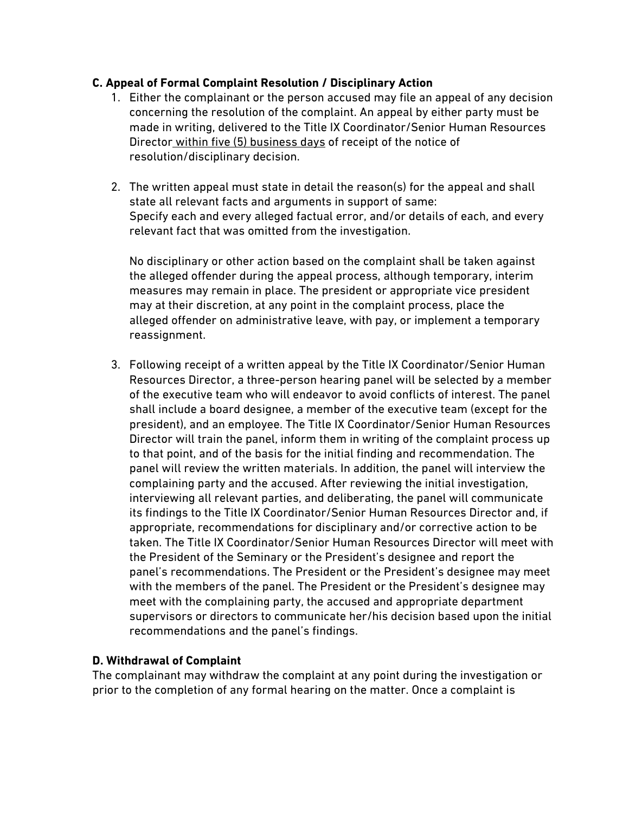# **C. Appeal of Formal Complaint Resolution / Disciplinary Action**

- 1. Either the complainant or the person accused may file an appeal of any decision concerning the resolution of the complaint. An appeal by either party must be made in writing, delivered to the Title IX Coordinator/Senior Human Resources Director within five (5) business days of receipt of the notice of resolution/disciplinary decision.
- 2. The written appeal must state in detail the reason(s) for the appeal and shall state all relevant facts and arguments in support of same: Specify each and every alleged factual error, and/or details of each, and every relevant fact that was omitted from the investigation.

No disciplinary or other action based on the complaint shall be taken against the alleged offender during the appeal process, although temporary, interim measures may remain in place. The president or appropriate vice president may at their discretion, at any point in the complaint process, place the alleged offender on administrative leave, with pay, or implement a temporary reassignment.

3. Following receipt of a written appeal by the Title IX Coordinator/Senior Human Resources Director, a three-person hearing panel will be selected by a member of the executive team who will endeavor to avoid conflicts of interest. The panel shall include a board designee, a member of the executive team (except for the president), and an employee. The Title IX Coordinator/Senior Human Resources Director will train the panel, inform them in writing of the complaint process up to that point, and of the basis for the initial finding and recommendation. The panel will review the written materials. In addition, the panel will interview the complaining party and the accused. After reviewing the initial investigation, interviewing all relevant parties, and deliberating, the panel will communicate its findings to the Title IX Coordinator/Senior Human Resources Director and, if appropriate, recommendations for disciplinary and/or corrective action to be taken. The Title IX Coordinator/Senior Human Resources Director will meet with the President of the Seminary or the President's designee and report the panel's recommendations. The President or the President's designee may meet with the members of the panel. The President or the President's designee may meet with the complaining party, the accused and appropriate department supervisors or directors to communicate her/his decision based upon the initial recommendations and the panel's findings.

### **D. Withdrawal of Complaint**

The complainant may withdraw the complaint at any point during the investigation or prior to the completion of any formal hearing on the matter. Once a complaint is